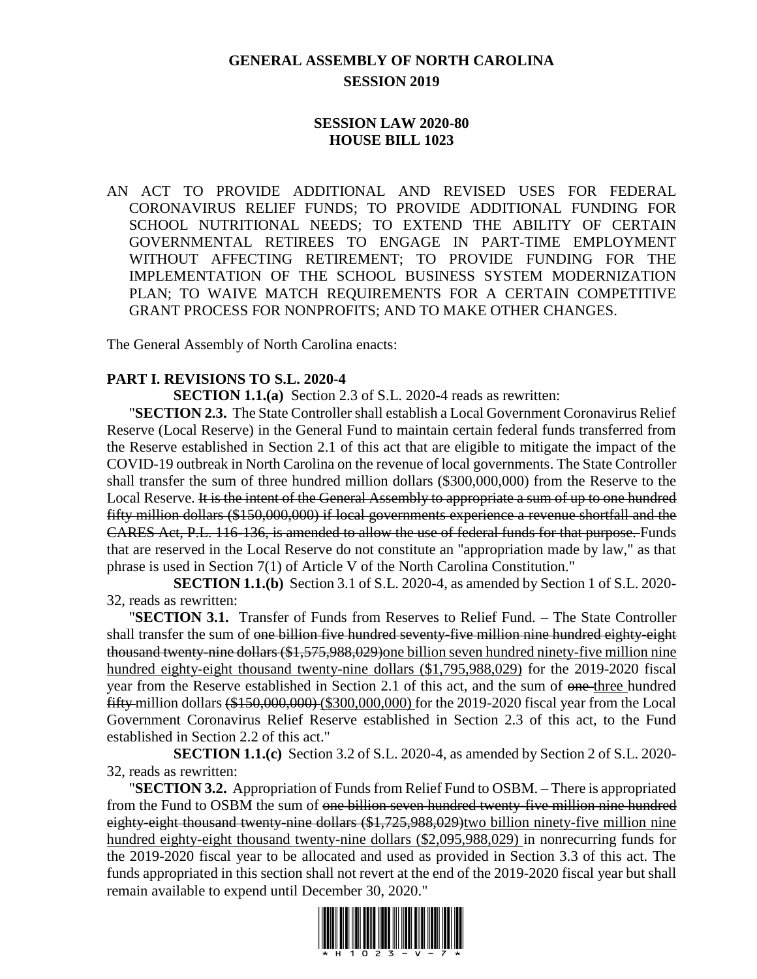## **GENERAL ASSEMBLY OF NORTH CAROLINA SESSION 2019**

## **SESSION LAW 2020-80 HOUSE BILL 1023**

AN ACT TO PROVIDE ADDITIONAL AND REVISED USES FOR FEDERAL CORONAVIRUS RELIEF FUNDS; TO PROVIDE ADDITIONAL FUNDING FOR SCHOOL NUTRITIONAL NEEDS; TO EXTEND THE ABILITY OF CERTAIN GOVERNMENTAL RETIREES TO ENGAGE IN PART-TIME EMPLOYMENT WITHOUT AFFECTING RETIREMENT; TO PROVIDE FUNDING FOR THE IMPLEMENTATION OF THE SCHOOL BUSINESS SYSTEM MODERNIZATION PLAN; TO WAIVE MATCH REQUIREMENTS FOR A CERTAIN COMPETITIVE GRANT PROCESS FOR NONPROFITS; AND TO MAKE OTHER CHANGES.

The General Assembly of North Carolina enacts:

#### **PART I. REVISIONS TO S.L. 2020-4**

**SECTION 1.1.(a)** Section 2.3 of S.L. 2020-4 reads as rewritten:

"**SECTION 2.3.** The State Controller shall establish a Local Government Coronavirus Relief Reserve (Local Reserve) in the General Fund to maintain certain federal funds transferred from the Reserve established in Section 2.1 of this act that are eligible to mitigate the impact of the COVID-19 outbreak in North Carolina on the revenue of local governments. The State Controller shall transfer the sum of three hundred million dollars (\$300,000,000) from the Reserve to the Local Reserve. It is the intent of the General Assembly to appropriate a sum of up to one hundred fifty million dollars (\$150,000,000) if local governments experience a revenue shortfall and the CARES Act, P.L. 116-136, is amended to allow the use of federal funds for that purpose. Funds that are reserved in the Local Reserve do not constitute an "appropriation made by law," as that phrase is used in Section 7(1) of Article V of the North Carolina Constitution."

**SECTION 1.1.(b)** Section 3.1 of S.L. 2020-4, as amended by Section 1 of S.L. 2020- 32, reads as rewritten:

"**SECTION 3.1.** Transfer of Funds from Reserves to Relief Fund. – The State Controller shall transfer the sum of one billion five hundred seventy-five million nine hundred eighty-eight thousand twenty-nine dollars (\$1,575,988,029)one billion seven hundred ninety-five million nine hundred eighty-eight thousand twenty-nine dollars (\$1,795,988,029) for the 2019-2020 fiscal year from the Reserve established in Section 2.1 of this act, and the sum of one three hundred fifty million dollars (\$150,000,000) (\$300,000,000) for the 2019-2020 fiscal year from the Local Government Coronavirus Relief Reserve established in Section 2.3 of this act, to the Fund established in Section 2.2 of this act."

**SECTION 1.1.(c)** Section 3.2 of S.L. 2020-4, as amended by Section 2 of S.L. 2020- 32, reads as rewritten:

"**SECTION 3.2.** Appropriation of Funds from Relief Fund to OSBM. – There is appropriated from the Fund to OSBM the sum of one billion seven hundred twenty-five million nine hundred eighty-eight thousand twenty-nine dollars (\$1,725,988,029)two billion ninety-five million nine hundred eighty-eight thousand twenty-nine dollars (\$2,095,988,029) in nonrecurring funds for the 2019-2020 fiscal year to be allocated and used as provided in Section 3.3 of this act. The funds appropriated in this section shall not revert at the end of the 2019-2020 fiscal year but shall remain available to expend until December 30, 2020."

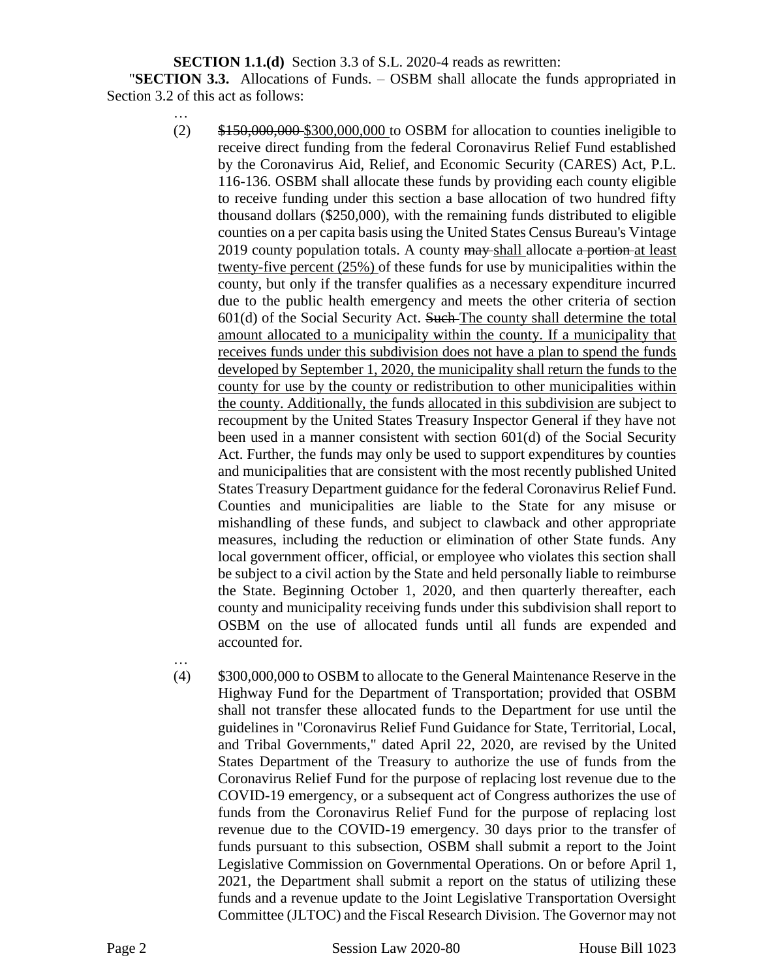**SECTION 1.1.(d)** Section 3.3 of S.L. 2020-4 reads as rewritten:

"**SECTION 3.3.** Allocations of Funds. – OSBM shall allocate the funds appropriated in Section 3.2 of this act as follows:

- …  $(2)$  \$150,000,000 \$300,000,000 to OSBM for allocation to counties ineligible to receive direct funding from the federal Coronavirus Relief Fund established by the Coronavirus Aid, Relief, and Economic Security (CARES) Act, P.L. 116-136. OSBM shall allocate these funds by providing each county eligible to receive funding under this section a base allocation of two hundred fifty thousand dollars (\$250,000), with the remaining funds distributed to eligible counties on a per capita basis using the United States Census Bureau's Vintage 2019 county population totals. A county may-shall allocate a portion-at least twenty-five percent (25%) of these funds for use by municipalities within the county, but only if the transfer qualifies as a necessary expenditure incurred due to the public health emergency and meets the other criteria of section  $601(d)$  of the Social Security Act. Such The county shall determine the total amount allocated to a municipality within the county. If a municipality that receives funds under this subdivision does not have a plan to spend the funds developed by September 1, 2020, the municipality shall return the funds to the county for use by the county or redistribution to other municipalities within the county. Additionally, the funds allocated in this subdivision are subject to recoupment by the United States Treasury Inspector General if they have not been used in a manner consistent with section 601(d) of the Social Security Act. Further, the funds may only be used to support expenditures by counties and municipalities that are consistent with the most recently published United States Treasury Department guidance for the federal Coronavirus Relief Fund. Counties and municipalities are liable to the State for any misuse or mishandling of these funds, and subject to clawback and other appropriate measures, including the reduction or elimination of other State funds. Any local government officer, official, or employee who violates this section shall be subject to a civil action by the State and held personally liable to reimburse the State. Beginning October 1, 2020, and then quarterly thereafter, each county and municipality receiving funds under this subdivision shall report to OSBM on the use of allocated funds until all funds are expended and accounted for.
- (4) \$300,000,000 to OSBM to allocate to the General Maintenance Reserve in the Highway Fund for the Department of Transportation; provided that OSBM shall not transfer these allocated funds to the Department for use until the guidelines in "Coronavirus Relief Fund Guidance for State, Territorial, Local, and Tribal Governments," dated April 22, 2020, are revised by the United States Department of the Treasury to authorize the use of funds from the Coronavirus Relief Fund for the purpose of replacing lost revenue due to the COVID-19 emergency, or a subsequent act of Congress authorizes the use of funds from the Coronavirus Relief Fund for the purpose of replacing lost revenue due to the COVID-19 emergency. 30 days prior to the transfer of funds pursuant to this subsection, OSBM shall submit a report to the Joint Legislative Commission on Governmental Operations. On or before April 1, 2021, the Department shall submit a report on the status of utilizing these funds and a revenue update to the Joint Legislative Transportation Oversight Committee (JLTOC) and the Fiscal Research Division. The Governor may not

…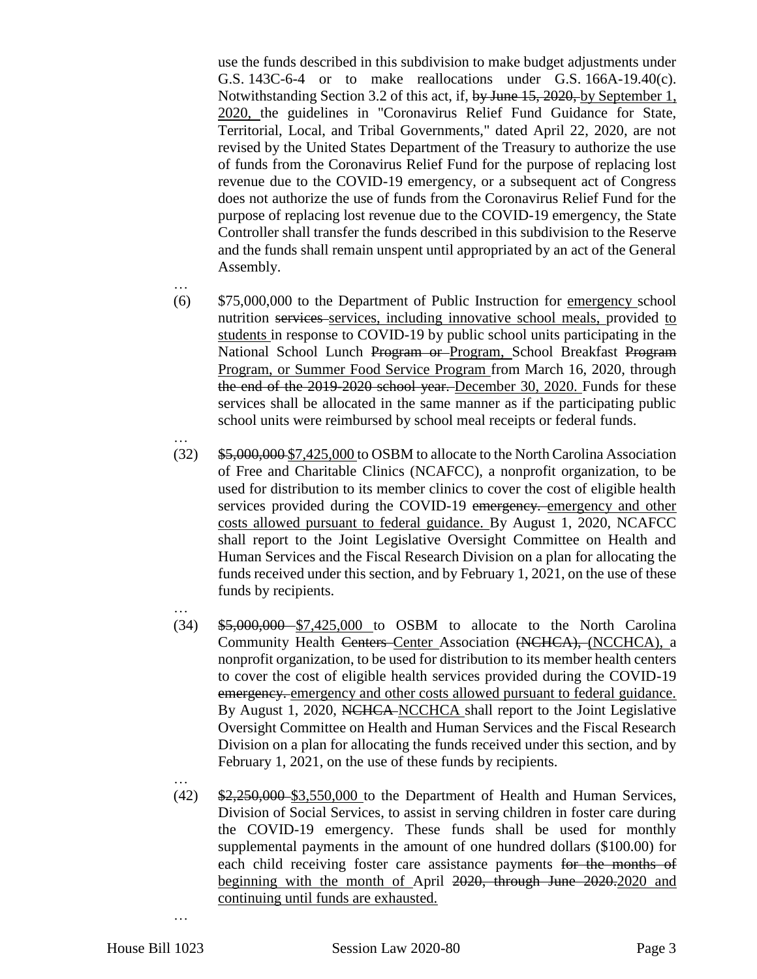use the funds described in this subdivision to make budget adjustments under G.S. 143C-6-4 or to make reallocations under G.S. 166A-19.40(c). Notwithstanding Section 3.2 of this act, if, by June 15, 2020, by September 1, 2020, the guidelines in "Coronavirus Relief Fund Guidance for State, Territorial, Local, and Tribal Governments," dated April 22, 2020, are not revised by the United States Department of the Treasury to authorize the use of funds from the Coronavirus Relief Fund for the purpose of replacing lost revenue due to the COVID-19 emergency, or a subsequent act of Congress does not authorize the use of funds from the Coronavirus Relief Fund for the purpose of replacing lost revenue due to the COVID-19 emergency, the State Controller shall transfer the funds described in this subdivision to the Reserve and the funds shall remain unspent until appropriated by an act of the General Assembly.

- … (6) \$75,000,000 to the Department of Public Instruction for emergency school nutrition services services, including innovative school meals, provided to students in response to COVID-19 by public school units participating in the National School Lunch Program or Program, School Breakfast Program Program, or Summer Food Service Program from March 16, 2020, through the end of the 2019-2020 school year. December 30, 2020. Funds for these services shall be allocated in the same manner as if the participating public school units were reimbursed by school meal receipts or federal funds.
- … (32) \$5,000,000 \$7,425,000 to OSBM to allocate to the North Carolina Association of Free and Charitable Clinics (NCAFCC), a nonprofit organization, to be used for distribution to its member clinics to cover the cost of eligible health services provided during the COVID-19 emergency. emergency and other costs allowed pursuant to federal guidance. By August 1, 2020, NCAFCC shall report to the Joint Legislative Oversight Committee on Health and Human Services and the Fiscal Research Division on a plan for allocating the funds received under this section, and by February 1, 2021, on the use of these funds by recipients.
- … (34) \$5,000,000 \$7,425,000 to OSBM to allocate to the North Carolina Community Health Centers Center Association (NCHCA), (NCCHCA), a nonprofit organization, to be used for distribution to its member health centers to cover the cost of eligible health services provided during the COVID-19 emergency. emergency and other costs allowed pursuant to federal guidance. By August 1, 2020, NCHCA NCCHCA shall report to the Joint Legislative Oversight Committee on Health and Human Services and the Fiscal Research Division on a plan for allocating the funds received under this section, and by February 1, 2021, on the use of these funds by recipients.
- …  $(42)$  \$2,250,000 \$3,550,000 to the Department of Health and Human Services, Division of Social Services, to assist in serving children in foster care during the COVID-19 emergency. These funds shall be used for monthly supplemental payments in the amount of one hundred dollars (\$100.00) for each child receiving foster care assistance payments for the months of beginning with the month of April 2020, through June 2020.2020 and continuing until funds are exhausted.

…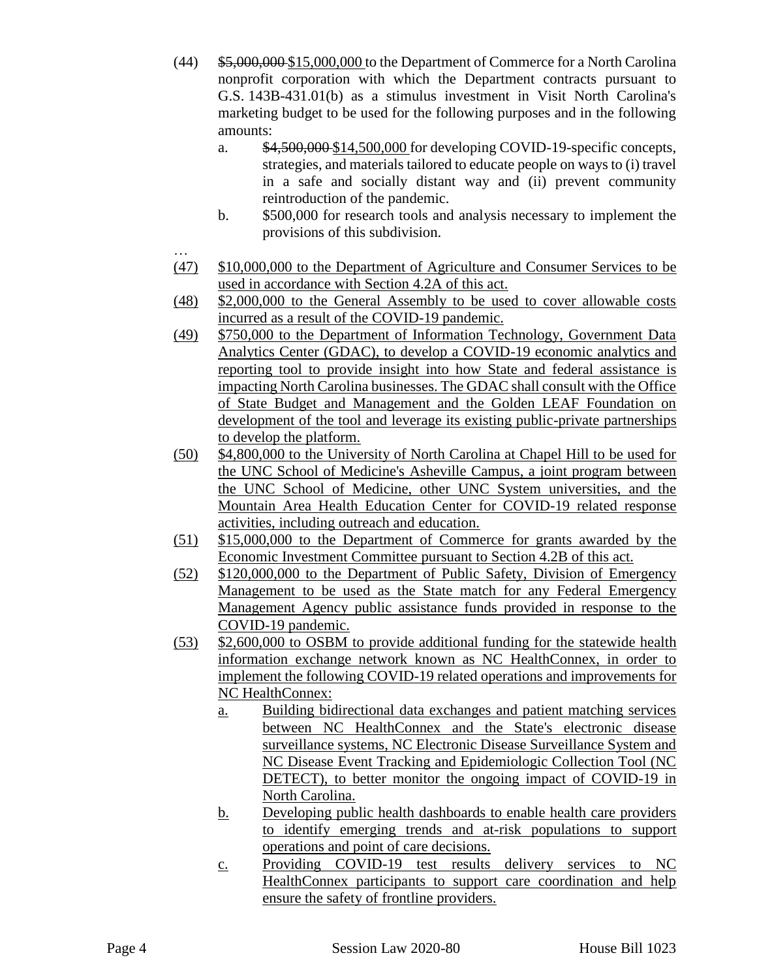- (44) \$5,000,000 \$15,000,000 to the Department of Commerce for a North Carolina nonprofit corporation with which the Department contracts pursuant to G.S. 143B-431.01(b) as a stimulus investment in Visit North Carolina's marketing budget to be used for the following purposes and in the following amounts:
	- a. \$4,500,000 \$14,500,000 for developing COVID-19-specific concepts, strategies, and materials tailored to educate people on ways to (i) travel in a safe and socially distant way and (ii) prevent community reintroduction of the pandemic.
	- b. \$500,000 for research tools and analysis necessary to implement the provisions of this subdivision.
- … (47) \$10,000,000 to the Department of Agriculture and Consumer Services to be used in accordance with Section 4.2A of this act.
- (48) \$2,000,000 to the General Assembly to be used to cover allowable costs incurred as a result of the COVID-19 pandemic.
- (49) \$750,000 to the Department of Information Technology, Government Data Analytics Center (GDAC), to develop a COVID-19 economic analytics and reporting tool to provide insight into how State and federal assistance is impacting North Carolina businesses. The GDAC shall consult with the Office of State Budget and Management and the Golden LEAF Foundation on development of the tool and leverage its existing public-private partnerships to develop the platform.
- (50) \$4,800,000 to the University of North Carolina at Chapel Hill to be used for the UNC School of Medicine's Asheville Campus, a joint program between the UNC School of Medicine, other UNC System universities, and the Mountain Area Health Education Center for COVID-19 related response activities, including outreach and education.
- (51) \$15,000,000 to the Department of Commerce for grants awarded by the Economic Investment Committee pursuant to Section 4.2B of this act.
- (52) \$120,000,000 to the Department of Public Safety, Division of Emergency Management to be used as the State match for any Federal Emergency Management Agency public assistance funds provided in response to the COVID-19 pandemic.
- (53) \$2,600,000 to OSBM to provide additional funding for the statewide health information exchange network known as NC HealthConnex, in order to implement the following COVID-19 related operations and improvements for NC HealthConnex:
	- a. Building bidirectional data exchanges and patient matching services between NC HealthConnex and the State's electronic disease surveillance systems, NC Electronic Disease Surveillance System and NC Disease Event Tracking and Epidemiologic Collection Tool (NC DETECT), to better monitor the ongoing impact of COVID-19 in North Carolina.
	- b. Developing public health dashboards to enable health care providers to identify emerging trends and at-risk populations to support operations and point of care decisions.
	- c. Providing COVID-19 test results delivery services to NC HealthConnex participants to support care coordination and help ensure the safety of frontline providers.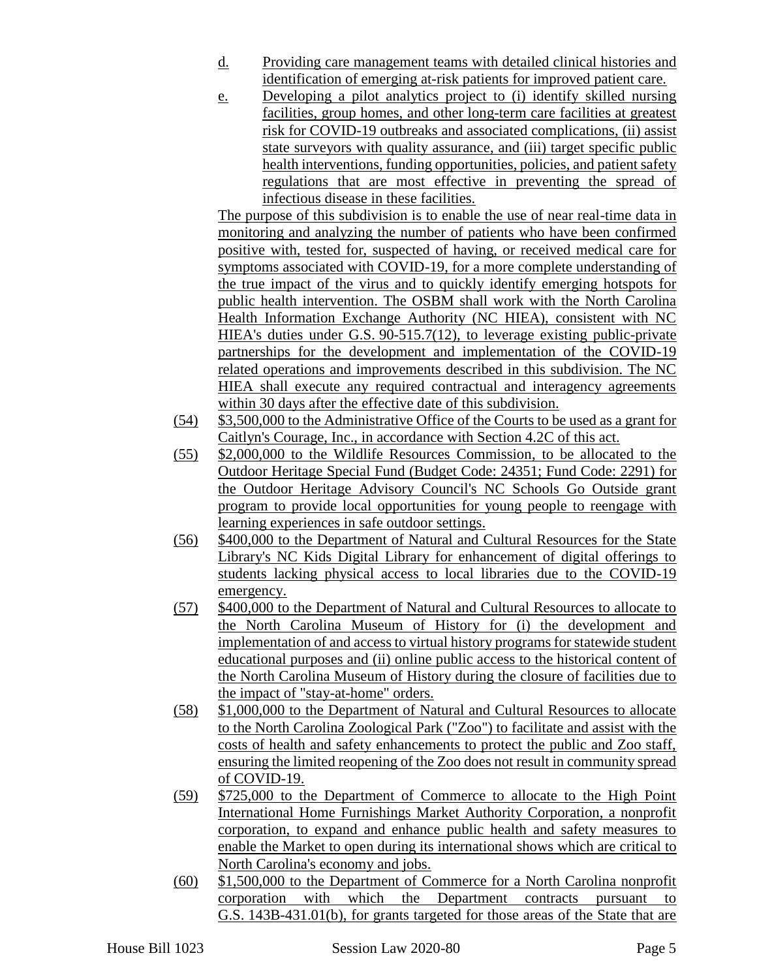- d. Providing care management teams with detailed clinical histories and identification of emerging at-risk patients for improved patient care.
- e. Developing a pilot analytics project to (i) identify skilled nursing facilities, group homes, and other long-term care facilities at greatest risk for COVID-19 outbreaks and associated complications, (ii) assist state surveyors with quality assurance, and (iii) target specific public health interventions, funding opportunities, policies, and patient safety regulations that are most effective in preventing the spread of infectious disease in these facilities.

The purpose of this subdivision is to enable the use of near real-time data in monitoring and analyzing the number of patients who have been confirmed positive with, tested for, suspected of having, or received medical care for symptoms associated with COVID-19, for a more complete understanding of the true impact of the virus and to quickly identify emerging hotspots for public health intervention. The OSBM shall work with the North Carolina Health Information Exchange Authority (NC HIEA), consistent with NC HIEA's duties under G.S. 90-515.7(12), to leverage existing public-private partnerships for the development and implementation of the COVID-19 related operations and improvements described in this subdivision. The NC HIEA shall execute any required contractual and interagency agreements within 30 days after the effective date of this subdivision.

- (54) \$3,500,000 to the Administrative Office of the Courts to be used as a grant for Caitlyn's Courage, Inc., in accordance with Section 4.2C of this act.
- (55) \$2,000,000 to the Wildlife Resources Commission, to be allocated to the Outdoor Heritage Special Fund (Budget Code: 24351; Fund Code: 2291) for the Outdoor Heritage Advisory Council's NC Schools Go Outside grant program to provide local opportunities for young people to reengage with learning experiences in safe outdoor settings.
- (56) \$400,000 to the Department of Natural and Cultural Resources for the State Library's NC Kids Digital Library for enhancement of digital offerings to students lacking physical access to local libraries due to the COVID-19 emergency.
- (57) \$400,000 to the Department of Natural and Cultural Resources to allocate to the North Carolina Museum of History for (i) the development and implementation of and access to virtual history programs for statewide student educational purposes and (ii) online public access to the historical content of the North Carolina Museum of History during the closure of facilities due to the impact of "stay-at-home" orders.
- (58) \$1,000,000 to the Department of Natural and Cultural Resources to allocate to the North Carolina Zoological Park ("Zoo") to facilitate and assist with the costs of health and safety enhancements to protect the public and Zoo staff, ensuring the limited reopening of the Zoo does not result in community spread of COVID-19.
- (59) \$725,000 to the Department of Commerce to allocate to the High Point International Home Furnishings Market Authority Corporation, a nonprofit corporation, to expand and enhance public health and safety measures to enable the Market to open during its international shows which are critical to North Carolina's economy and jobs.
- (60) \$1,500,000 to the Department of Commerce for a North Carolina nonprofit corporation with which the Department contracts pursuant to G.S. 143B-431.01(b), for grants targeted for those areas of the State that are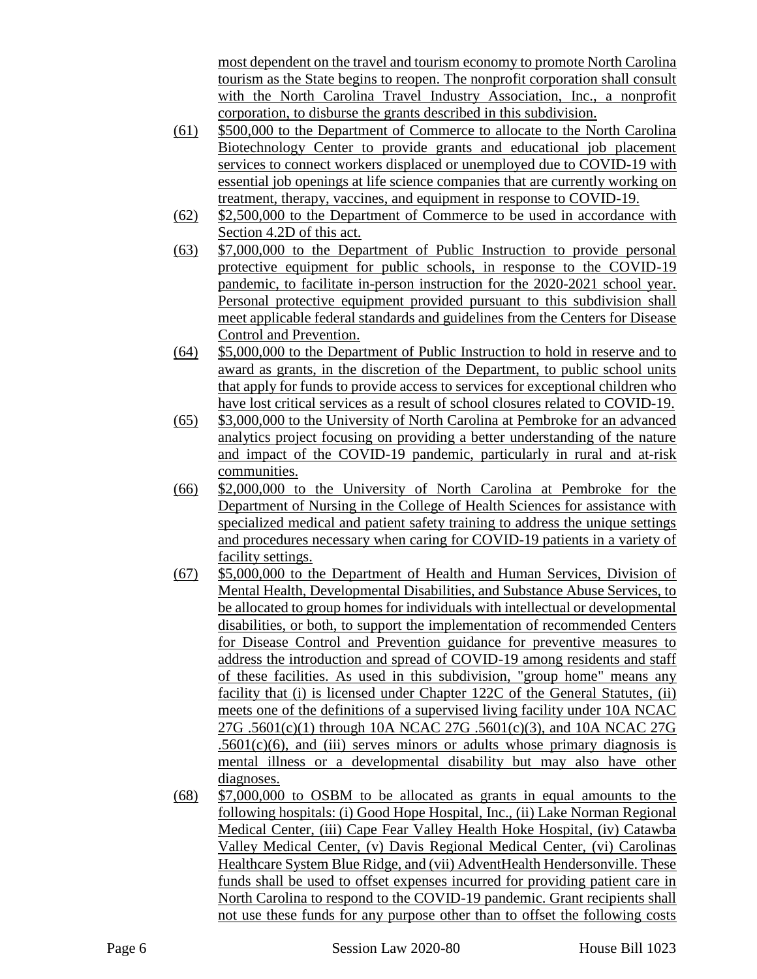most dependent on the travel and tourism economy to promote North Carolina tourism as the State begins to reopen. The nonprofit corporation shall consult with the North Carolina Travel Industry Association, Inc., a nonprofit corporation, to disburse the grants described in this subdivision.

- (61) \$500,000 to the Department of Commerce to allocate to the North Carolina Biotechnology Center to provide grants and educational job placement services to connect workers displaced or unemployed due to COVID-19 with essential job openings at life science companies that are currently working on treatment, therapy, vaccines, and equipment in response to COVID-19.
- (62) \$2,500,000 to the Department of Commerce to be used in accordance with Section 4.2D of this act.
- (63) \$7,000,000 to the Department of Public Instruction to provide personal protective equipment for public schools, in response to the COVID-19 pandemic, to facilitate in-person instruction for the 2020-2021 school year. Personal protective equipment provided pursuant to this subdivision shall meet applicable federal standards and guidelines from the Centers for Disease Control and Prevention.
- (64) \$5,000,000 to the Department of Public Instruction to hold in reserve and to award as grants, in the discretion of the Department, to public school units that apply for funds to provide access to services for exceptional children who have lost critical services as a result of school closures related to COVID-19.
- (65) \$3,000,000 to the University of North Carolina at Pembroke for an advanced analytics project focusing on providing a better understanding of the nature and impact of the COVID-19 pandemic, particularly in rural and at-risk communities.
- (66) \$2,000,000 to the University of North Carolina at Pembroke for the Department of Nursing in the College of Health Sciences for assistance with specialized medical and patient safety training to address the unique settings and procedures necessary when caring for COVID-19 patients in a variety of facility settings.
- (67) \$5,000,000 to the Department of Health and Human Services, Division of Mental Health, Developmental Disabilities, and Substance Abuse Services, to be allocated to group homes for individuals with intellectual or developmental disabilities, or both, to support the implementation of recommended Centers for Disease Control and Prevention guidance for preventive measures to address the introduction and spread of COVID-19 among residents and staff of these facilities. As used in this subdivision, "group home" means any facility that (i) is licensed under Chapter 122C of the General Statutes, (ii) meets one of the definitions of a supervised living facility under 10A NCAC 27G .5601(c)(1) through 10A NCAC 27G .5601(c)(3), and 10A NCAC 27G  $.5601(c)(6)$ , and (iii) serves minors or adults whose primary diagnosis is mental illness or a developmental disability but may also have other diagnoses.
- (68) \$7,000,000 to OSBM to be allocated as grants in equal amounts to the following hospitals: (i) Good Hope Hospital, Inc., (ii) Lake Norman Regional Medical Center, (iii) Cape Fear Valley Health Hoke Hospital, (iv) Catawba Valley Medical Center, (v) Davis Regional Medical Center, (vi) Carolinas Healthcare System Blue Ridge, and (vii) AdventHealth Hendersonville. These funds shall be used to offset expenses incurred for providing patient care in North Carolina to respond to the COVID-19 pandemic. Grant recipients shall not use these funds for any purpose other than to offset the following costs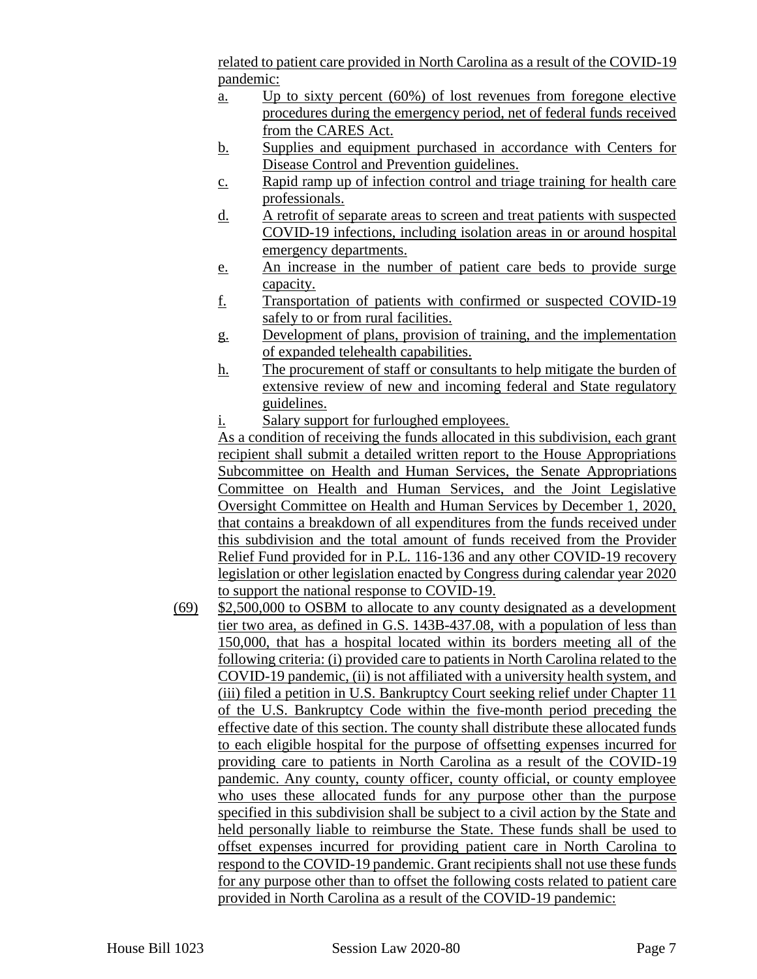related to patient care provided in North Carolina as a result of the COVID-19 pandemic:

- a. Up to sixty percent (60%) of lost revenues from foregone elective procedures during the emergency period, net of federal funds received from the CARES Act.
- b. Supplies and equipment purchased in accordance with Centers for Disease Control and Prevention guidelines.
- c. Rapid ramp up of infection control and triage training for health care professionals.
- d. A retrofit of separate areas to screen and treat patients with suspected COVID-19 infections, including isolation areas in or around hospital emergency departments.
- e. An increase in the number of patient care beds to provide surge capacity.
- f. Transportation of patients with confirmed or suspected COVID-19 safely to or from rural facilities.
- g. Development of plans, provision of training, and the implementation of expanded telehealth capabilities.
- h. The procurement of staff or consultants to help mitigate the burden of extensive review of new and incoming federal and State regulatory guidelines.
- i. Salary support for furloughed employees.

As a condition of receiving the funds allocated in this subdivision, each grant recipient shall submit a detailed written report to the House Appropriations Subcommittee on Health and Human Services, the Senate Appropriations Committee on Health and Human Services, and the Joint Legislative Oversight Committee on Health and Human Services by December 1, 2020, that contains a breakdown of all expenditures from the funds received under this subdivision and the total amount of funds received from the Provider Relief Fund provided for in P.L. 116-136 and any other COVID-19 recovery legislation or other legislation enacted by Congress during calendar year 2020 to support the national response to COVID-19.

(69) \$2,500,000 to OSBM to allocate to any county designated as a development tier two area, as defined in G.S. 143B-437.08, with a population of less than 150,000, that has a hospital located within its borders meeting all of the following criteria: (i) provided care to patients in North Carolina related to the COVID-19 pandemic, (ii) is not affiliated with a university health system, and (iii) filed a petition in U.S. Bankruptcy Court seeking relief under Chapter 11 of the U.S. Bankruptcy Code within the five-month period preceding the effective date of this section. The county shall distribute these allocated funds to each eligible hospital for the purpose of offsetting expenses incurred for providing care to patients in North Carolina as a result of the COVID-19 pandemic. Any county, county officer, county official, or county employee who uses these allocated funds for any purpose other than the purpose specified in this subdivision shall be subject to a civil action by the State and held personally liable to reimburse the State. These funds shall be used to offset expenses incurred for providing patient care in North Carolina to respond to the COVID-19 pandemic. Grant recipients shall not use these funds for any purpose other than to offset the following costs related to patient care provided in North Carolina as a result of the COVID-19 pandemic: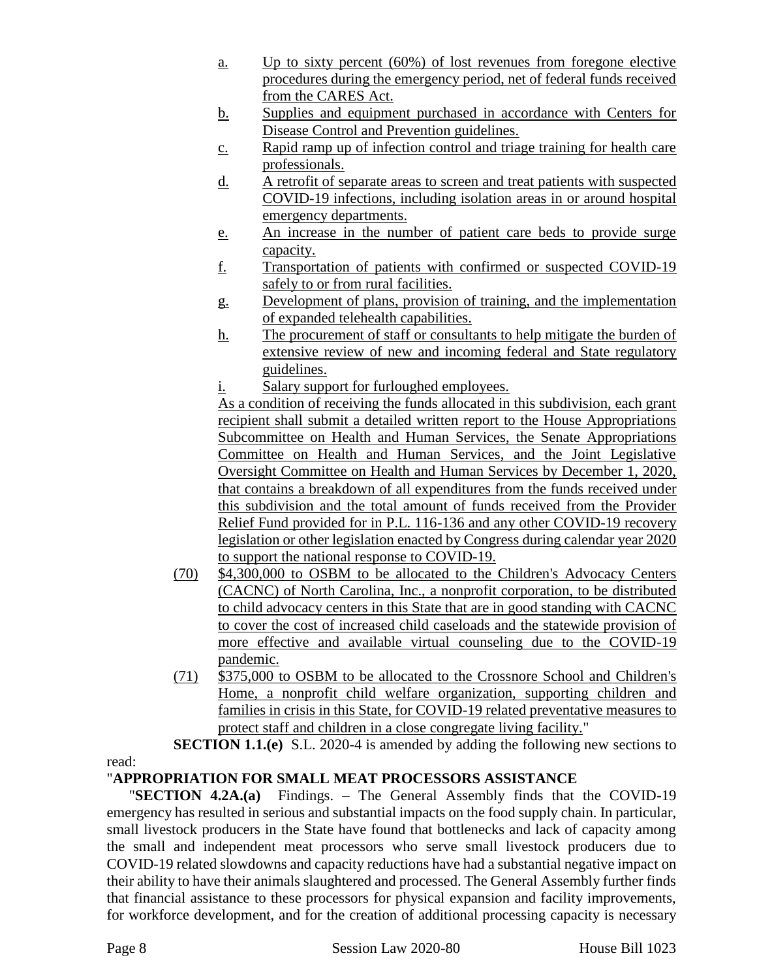- a. Up to sixty percent (60%) of lost revenues from foregone elective procedures during the emergency period, net of federal funds received from the CARES Act.
- b. Supplies and equipment purchased in accordance with Centers for Disease Control and Prevention guidelines.
- c. Rapid ramp up of infection control and triage training for health care professionals.
- d. A retrofit of separate areas to screen and treat patients with suspected COVID-19 infections, including isolation areas in or around hospital emergency departments.
- e. An increase in the number of patient care beds to provide surge capacity.
- f. Transportation of patients with confirmed or suspected COVID-19 safely to or from rural facilities.
- g. Development of plans, provision of training, and the implementation of expanded telehealth capabilities.
- h. The procurement of staff or consultants to help mitigate the burden of extensive review of new and incoming federal and State regulatory guidelines.
- i. Salary support for furloughed employees.

As a condition of receiving the funds allocated in this subdivision, each grant recipient shall submit a detailed written report to the House Appropriations Subcommittee on Health and Human Services, the Senate Appropriations Committee on Health and Human Services, and the Joint Legislative Oversight Committee on Health and Human Services by December 1, 2020, that contains a breakdown of all expenditures from the funds received under this subdivision and the total amount of funds received from the Provider Relief Fund provided for in P.L. 116-136 and any other COVID-19 recovery legislation or other legislation enacted by Congress during calendar year 2020 to support the national response to COVID-19.

- (70) \$4,300,000 to OSBM to be allocated to the Children's Advocacy Centers (CACNC) of North Carolina, Inc., a nonprofit corporation, to be distributed to child advocacy centers in this State that are in good standing with CACNC to cover the cost of increased child caseloads and the statewide provision of more effective and available virtual counseling due to the COVID-19 pandemic.
- (71) \$375,000 to OSBM to be allocated to the Crossnore School and Children's Home, a nonprofit child welfare organization, supporting children and families in crisis in this State, for COVID-19 related preventative measures to protect staff and children in a close congregate living facility."

**SECTION 1.1.(e)** S.L. 2020-4 is amended by adding the following new sections to

# "**APPROPRIATION FOR SMALL MEAT PROCESSORS ASSISTANCE**

"**SECTION 4.2A.(a)** Findings. – The General Assembly finds that the COVID-19 emergency has resulted in serious and substantial impacts on the food supply chain. In particular, small livestock producers in the State have found that bottlenecks and lack of capacity among the small and independent meat processors who serve small livestock producers due to COVID-19 related slowdowns and capacity reductions have had a substantial negative impact on their ability to have their animals slaughtered and processed. The General Assembly further finds that financial assistance to these processors for physical expansion and facility improvements, for workforce development, and for the creation of additional processing capacity is necessary

read: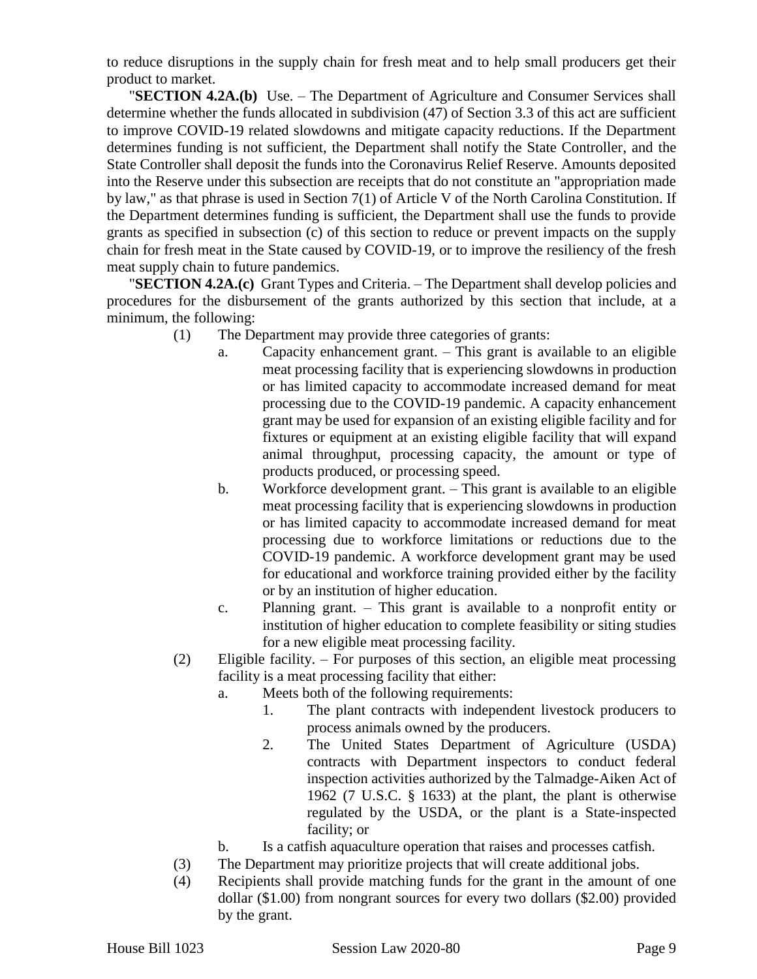to reduce disruptions in the supply chain for fresh meat and to help small producers get their product to market.

"**SECTION 4.2A.(b)** Use. – The Department of Agriculture and Consumer Services shall determine whether the funds allocated in subdivision (47) of Section 3.3 of this act are sufficient to improve COVID-19 related slowdowns and mitigate capacity reductions. If the Department determines funding is not sufficient, the Department shall notify the State Controller, and the State Controller shall deposit the funds into the Coronavirus Relief Reserve. Amounts deposited into the Reserve under this subsection are receipts that do not constitute an "appropriation made by law," as that phrase is used in Section 7(1) of Article V of the North Carolina Constitution. If the Department determines funding is sufficient, the Department shall use the funds to provide grants as specified in subsection (c) of this section to reduce or prevent impacts on the supply chain for fresh meat in the State caused by COVID-19, or to improve the resiliency of the fresh meat supply chain to future pandemics.

"**SECTION 4.2A.(c)** Grant Types and Criteria. – The Department shall develop policies and procedures for the disbursement of the grants authorized by this section that include, at a minimum, the following:

- (1) The Department may provide three categories of grants:
	- a. Capacity enhancement grant. This grant is available to an eligible meat processing facility that is experiencing slowdowns in production or has limited capacity to accommodate increased demand for meat processing due to the COVID-19 pandemic. A capacity enhancement grant may be used for expansion of an existing eligible facility and for fixtures or equipment at an existing eligible facility that will expand animal throughput, processing capacity, the amount or type of products produced, or processing speed.
	- b. Workforce development grant. This grant is available to an eligible meat processing facility that is experiencing slowdowns in production or has limited capacity to accommodate increased demand for meat processing due to workforce limitations or reductions due to the COVID-19 pandemic. A workforce development grant may be used for educational and workforce training provided either by the facility or by an institution of higher education.
	- c. Planning grant. This grant is available to a nonprofit entity or institution of higher education to complete feasibility or siting studies for a new eligible meat processing facility.
- (2) Eligible facility. For purposes of this section, an eligible meat processing facility is a meat processing facility that either:
	- a. Meets both of the following requirements:
		- 1. The plant contracts with independent livestock producers to process animals owned by the producers.
		- 2. The United States Department of Agriculture (USDA) contracts with Department inspectors to conduct federal inspection activities authorized by the Talmadge-Aiken Act of 1962 (7 U.S.C. § 1633) at the plant, the plant is otherwise regulated by the USDA, or the plant is a State-inspected facility; or
	- b. Is a catfish aquaculture operation that raises and processes catfish.
- (3) The Department may prioritize projects that will create additional jobs.
- (4) Recipients shall provide matching funds for the grant in the amount of one dollar (\$1.00) from nongrant sources for every two dollars (\$2.00) provided by the grant.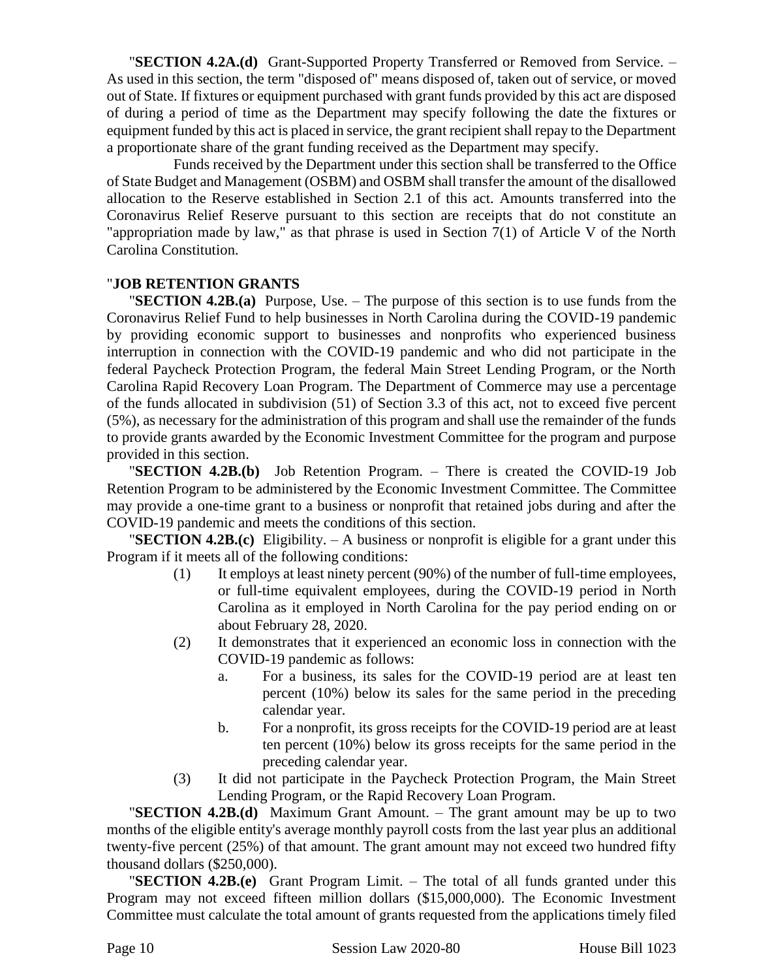"**SECTION 4.2A.(d)** Grant-Supported Property Transferred or Removed from Service. – As used in this section, the term "disposed of" means disposed of, taken out of service, or moved out of State. If fixtures or equipment purchased with grant funds provided by this act are disposed of during a period of time as the Department may specify following the date the fixtures or equipment funded by this act is placed in service, the grant recipient shall repay to the Department a proportionate share of the grant funding received as the Department may specify.

Funds received by the Department under this section shall be transferred to the Office of State Budget and Management (OSBM) and OSBM shall transfer the amount of the disallowed allocation to the Reserve established in Section 2.1 of this act. Amounts transferred into the Coronavirus Relief Reserve pursuant to this section are receipts that do not constitute an "appropriation made by law," as that phrase is used in Section 7(1) of Article V of the North Carolina Constitution.

### "**JOB RETENTION GRANTS**

"**SECTION 4.2B.(a)** Purpose, Use. – The purpose of this section is to use funds from the Coronavirus Relief Fund to help businesses in North Carolina during the COVID-19 pandemic by providing economic support to businesses and nonprofits who experienced business interruption in connection with the COVID-19 pandemic and who did not participate in the federal Paycheck Protection Program, the federal Main Street Lending Program, or the North Carolina Rapid Recovery Loan Program. The Department of Commerce may use a percentage of the funds allocated in subdivision (51) of Section 3.3 of this act, not to exceed five percent (5%), as necessary for the administration of this program and shall use the remainder of the funds to provide grants awarded by the Economic Investment Committee for the program and purpose provided in this section.

"**SECTION 4.2B.(b)** Job Retention Program. – There is created the COVID-19 Job Retention Program to be administered by the Economic Investment Committee. The Committee may provide a one-time grant to a business or nonprofit that retained jobs during and after the COVID-19 pandemic and meets the conditions of this section.

"**SECTION 4.2B.(c)** Eligibility. – A business or nonprofit is eligible for a grant under this Program if it meets all of the following conditions:

- (1) It employs at least ninety percent (90%) of the number of full-time employees, or full-time equivalent employees, during the COVID-19 period in North Carolina as it employed in North Carolina for the pay period ending on or about February 28, 2020.
- (2) It demonstrates that it experienced an economic loss in connection with the COVID-19 pandemic as follows:
	- a. For a business, its sales for the COVID-19 period are at least ten percent (10%) below its sales for the same period in the preceding calendar year.
	- b. For a nonprofit, its gross receipts for the COVID-19 period are at least ten percent (10%) below its gross receipts for the same period in the preceding calendar year.
- (3) It did not participate in the Paycheck Protection Program, the Main Street Lending Program, or the Rapid Recovery Loan Program.

"**SECTION 4.2B.(d)** Maximum Grant Amount. – The grant amount may be up to two months of the eligible entity's average monthly payroll costs from the last year plus an additional twenty-five percent (25%) of that amount. The grant amount may not exceed two hundred fifty thousand dollars (\$250,000).

"**SECTION 4.2B.(e)** Grant Program Limit. – The total of all funds granted under this Program may not exceed fifteen million dollars (\$15,000,000). The Economic Investment Committee must calculate the total amount of grants requested from the applications timely filed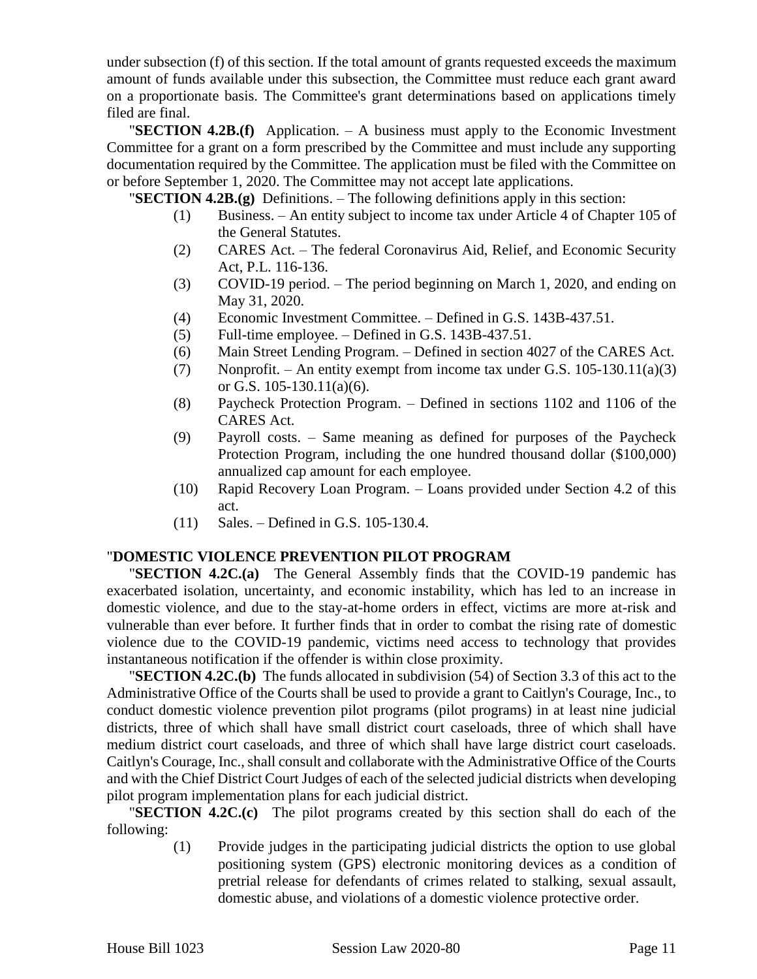under subsection (f) of this section. If the total amount of grants requested exceeds the maximum amount of funds available under this subsection, the Committee must reduce each grant award on a proportionate basis. The Committee's grant determinations based on applications timely filed are final.

"**SECTION 4.2B.(f)** Application. – A business must apply to the Economic Investment Committee for a grant on a form prescribed by the Committee and must include any supporting documentation required by the Committee. The application must be filed with the Committee on or before September 1, 2020. The Committee may not accept late applications.

"**SECTION 4.2B.(g)** Definitions. – The following definitions apply in this section:

- (1) Business. An entity subject to income tax under Article 4 of Chapter 105 of the General Statutes.
- (2) CARES Act. The federal Coronavirus Aid, Relief, and Economic Security Act, P.L. 116-136.
- (3) COVID-19 period. The period beginning on March 1, 2020, and ending on May 31, 2020.
- (4) Economic Investment Committee. Defined in G.S. 143B-437.51.
- (5) Full-time employee. Defined in G.S. 143B-437.51.
- (6) Main Street Lending Program. Defined in section 4027 of the CARES Act.
- (7) Nonprofit. An entity exempt from income tax under G.S. 105-130.11(a)(3) or G.S. 105-130.11(a)(6).
- (8) Paycheck Protection Program. Defined in sections 1102 and 1106 of the CARES Act.
- (9) Payroll costs. Same meaning as defined for purposes of the Paycheck Protection Program, including the one hundred thousand dollar (\$100,000) annualized cap amount for each employee.
- (10) Rapid Recovery Loan Program. Loans provided under Section 4.2 of this act.
- (11) Sales. Defined in G.S. 105-130.4.

#### "**DOMESTIC VIOLENCE PREVENTION PILOT PROGRAM**

"**SECTION 4.2C.(a)** The General Assembly finds that the COVID-19 pandemic has exacerbated isolation, uncertainty, and economic instability, which has led to an increase in domestic violence, and due to the stay-at-home orders in effect, victims are more at-risk and vulnerable than ever before. It further finds that in order to combat the rising rate of domestic violence due to the COVID-19 pandemic, victims need access to technology that provides instantaneous notification if the offender is within close proximity.

"**SECTION 4.2C.(b)** The funds allocated in subdivision (54) of Section 3.3 of this act to the Administrative Office of the Courts shall be used to provide a grant to Caitlyn's Courage, Inc., to conduct domestic violence prevention pilot programs (pilot programs) in at least nine judicial districts, three of which shall have small district court caseloads, three of which shall have medium district court caseloads, and three of which shall have large district court caseloads. Caitlyn's Courage, Inc., shall consult and collaborate with the Administrative Office of the Courts and with the Chief District Court Judges of each of the selected judicial districts when developing pilot program implementation plans for each judicial district.

"**SECTION 4.2C.(c)** The pilot programs created by this section shall do each of the following:

(1) Provide judges in the participating judicial districts the option to use global positioning system (GPS) electronic monitoring devices as a condition of pretrial release for defendants of crimes related to stalking, sexual assault, domestic abuse, and violations of a domestic violence protective order.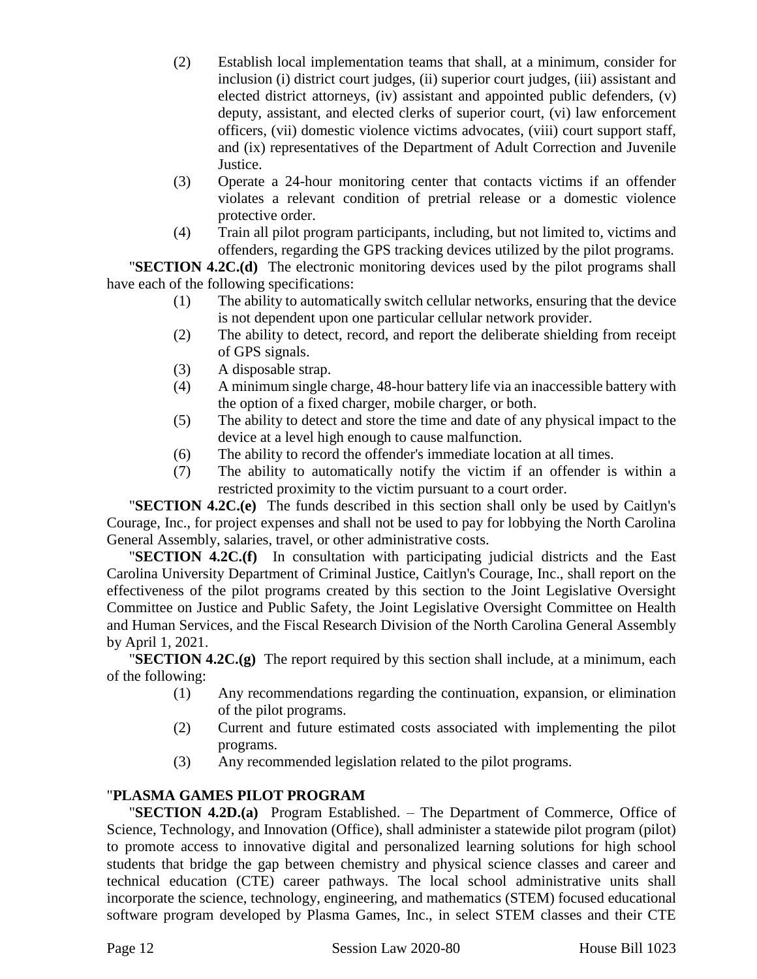- (2) Establish local implementation teams that shall, at a minimum, consider for inclusion (i) district court judges, (ii) superior court judges, (iii) assistant and elected district attorneys, (iv) assistant and appointed public defenders, (v) deputy, assistant, and elected clerks of superior court, (vi) law enforcement officers, (vii) domestic violence victims advocates, (viii) court support staff, and (ix) representatives of the Department of Adult Correction and Juvenile Justice.
- (3) Operate a 24-hour monitoring center that contacts victims if an offender violates a relevant condition of pretrial release or a domestic violence protective order.
- (4) Train all pilot program participants, including, but not limited to, victims and offenders, regarding the GPS tracking devices utilized by the pilot programs.

"**SECTION 4.2C.(d)** The electronic monitoring devices used by the pilot programs shall have each of the following specifications:

- (1) The ability to automatically switch cellular networks, ensuring that the device is not dependent upon one particular cellular network provider.
- (2) The ability to detect, record, and report the deliberate shielding from receipt of GPS signals.
- (3) A disposable strap.
- (4) A minimum single charge, 48-hour battery life via an inaccessible battery with the option of a fixed charger, mobile charger, or both.
- (5) The ability to detect and store the time and date of any physical impact to the device at a level high enough to cause malfunction.
- (6) The ability to record the offender's immediate location at all times.
- (7) The ability to automatically notify the victim if an offender is within a restricted proximity to the victim pursuant to a court order.

"**SECTION 4.2C.(e)** The funds described in this section shall only be used by Caitlyn's Courage, Inc., for project expenses and shall not be used to pay for lobbying the North Carolina General Assembly, salaries, travel, or other administrative costs.

"**SECTION 4.2C.(f)** In consultation with participating judicial districts and the East Carolina University Department of Criminal Justice, Caitlyn's Courage, Inc., shall report on the effectiveness of the pilot programs created by this section to the Joint Legislative Oversight Committee on Justice and Public Safety, the Joint Legislative Oversight Committee on Health and Human Services, and the Fiscal Research Division of the North Carolina General Assembly by April 1, 2021.

"**SECTION 4.2C.(g)** The report required by this section shall include, at a minimum, each of the following:

- (1) Any recommendations regarding the continuation, expansion, or elimination of the pilot programs.
- (2) Current and future estimated costs associated with implementing the pilot programs.
- (3) Any recommended legislation related to the pilot programs.

# "**PLASMA GAMES PILOT PROGRAM**

"**SECTION 4.2D.(a)** Program Established. – The Department of Commerce, Office of Science, Technology, and Innovation (Office), shall administer a statewide pilot program (pilot) to promote access to innovative digital and personalized learning solutions for high school students that bridge the gap between chemistry and physical science classes and career and technical education (CTE) career pathways. The local school administrative units shall incorporate the science, technology, engineering, and mathematics (STEM) focused educational software program developed by Plasma Games, Inc., in select STEM classes and their CTE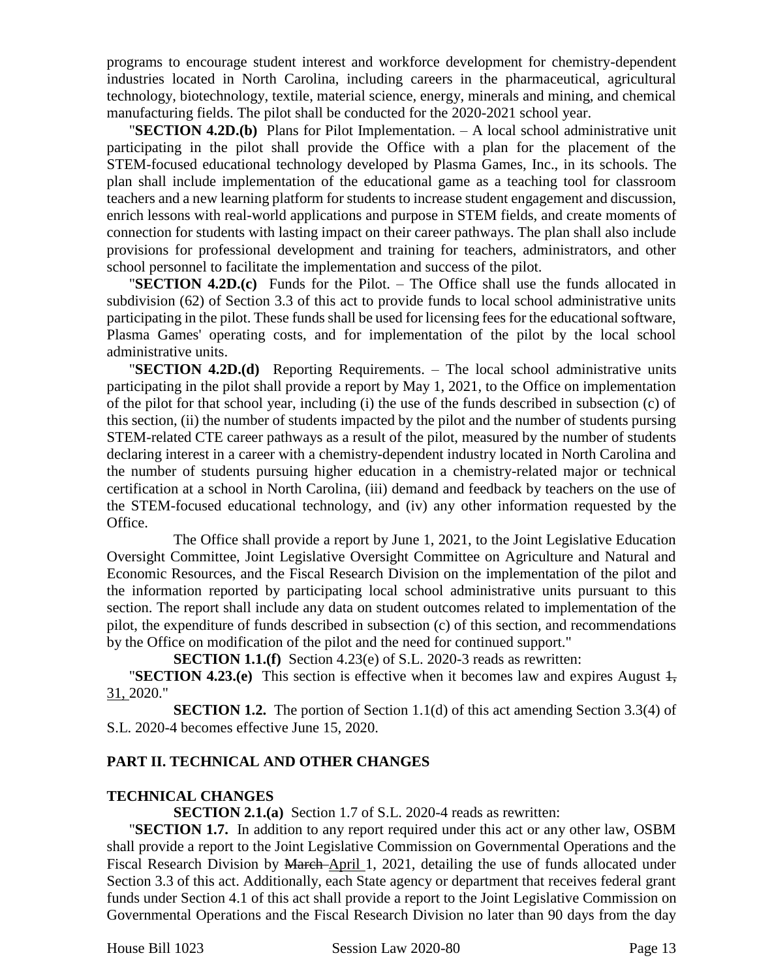programs to encourage student interest and workforce development for chemistry-dependent industries located in North Carolina, including careers in the pharmaceutical, agricultural technology, biotechnology, textile, material science, energy, minerals and mining, and chemical manufacturing fields. The pilot shall be conducted for the 2020-2021 school year.

"**SECTION 4.2D.(b)** Plans for Pilot Implementation. – A local school administrative unit participating in the pilot shall provide the Office with a plan for the placement of the STEM-focused educational technology developed by Plasma Games, Inc., in its schools. The plan shall include implementation of the educational game as a teaching tool for classroom teachers and a new learning platform for students to increase student engagement and discussion, enrich lessons with real-world applications and purpose in STEM fields, and create moments of connection for students with lasting impact on their career pathways. The plan shall also include provisions for professional development and training for teachers, administrators, and other school personnel to facilitate the implementation and success of the pilot.

"**SECTION 4.2D.(c)** Funds for the Pilot. – The Office shall use the funds allocated in subdivision (62) of Section 3.3 of this act to provide funds to local school administrative units participating in the pilot. These funds shall be used for licensing fees for the educational software, Plasma Games' operating costs, and for implementation of the pilot by the local school administrative units.

"**SECTION 4.2D.(d)** Reporting Requirements. – The local school administrative units participating in the pilot shall provide a report by May 1, 2021, to the Office on implementation of the pilot for that school year, including (i) the use of the funds described in subsection (c) of this section, (ii) the number of students impacted by the pilot and the number of students pursing STEM-related CTE career pathways as a result of the pilot, measured by the number of students declaring interest in a career with a chemistry-dependent industry located in North Carolina and the number of students pursuing higher education in a chemistry-related major or technical certification at a school in North Carolina, (iii) demand and feedback by teachers on the use of the STEM-focused educational technology, and (iv) any other information requested by the Office.

The Office shall provide a report by June 1, 2021, to the Joint Legislative Education Oversight Committee, Joint Legislative Oversight Committee on Agriculture and Natural and Economic Resources, and the Fiscal Research Division on the implementation of the pilot and the information reported by participating local school administrative units pursuant to this section. The report shall include any data on student outcomes related to implementation of the pilot, the expenditure of funds described in subsection (c) of this section, and recommendations by the Office on modification of the pilot and the need for continued support."

**SECTION 1.1.(f)** Section 4.23(e) of S.L. 2020-3 reads as rewritten:

**"SECTION 4.23.(e)** This section is effective when it becomes law and expires August  $\frac{1}{2}$ , 31, 2020."

**SECTION 1.2.** The portion of Section 1.1(d) of this act amending Section 3.3(4) of S.L. 2020-4 becomes effective June 15, 2020.

## **PART II. TECHNICAL AND OTHER CHANGES**

#### **TECHNICAL CHANGES**

**SECTION 2.1.(a)** Section 1.7 of S.L. 2020-4 reads as rewritten:

"**SECTION 1.7.** In addition to any report required under this act or any other law, OSBM shall provide a report to the Joint Legislative Commission on Governmental Operations and the Fiscal Research Division by March April 1, 2021, detailing the use of funds allocated under Section 3.3 of this act. Additionally, each State agency or department that receives federal grant funds under Section 4.1 of this act shall provide a report to the Joint Legislative Commission on Governmental Operations and the Fiscal Research Division no later than 90 days from the day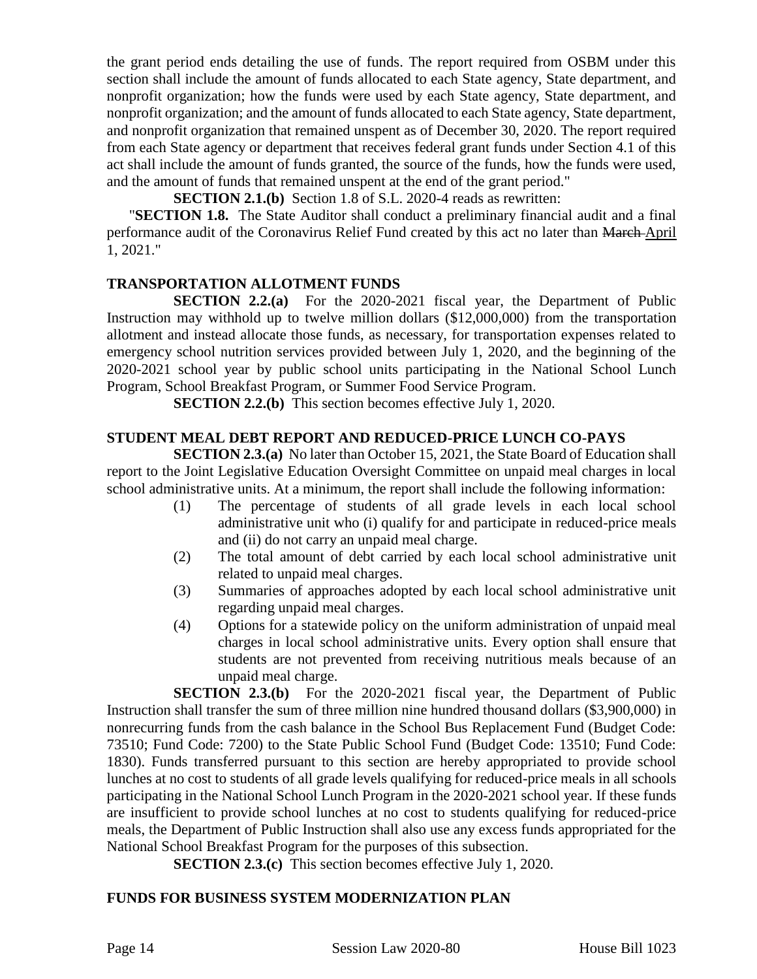the grant period ends detailing the use of funds. The report required from OSBM under this section shall include the amount of funds allocated to each State agency, State department, and nonprofit organization; how the funds were used by each State agency, State department, and nonprofit organization; and the amount of funds allocated to each State agency, State department, and nonprofit organization that remained unspent as of December 30, 2020. The report required from each State agency or department that receives federal grant funds under Section 4.1 of this act shall include the amount of funds granted, the source of the funds, how the funds were used, and the amount of funds that remained unspent at the end of the grant period."

**SECTION 2.1.(b)** Section 1.8 of S.L. 2020-4 reads as rewritten:

"**SECTION 1.8.** The State Auditor shall conduct a preliminary financial audit and a final performance audit of the Coronavirus Relief Fund created by this act no later than March April 1, 2021."

### **TRANSPORTATION ALLOTMENT FUNDS**

**SECTION 2.2.(a)** For the 2020-2021 fiscal year, the Department of Public Instruction may withhold up to twelve million dollars (\$12,000,000) from the transportation allotment and instead allocate those funds, as necessary, for transportation expenses related to emergency school nutrition services provided between July 1, 2020, and the beginning of the 2020-2021 school year by public school units participating in the National School Lunch Program, School Breakfast Program, or Summer Food Service Program.

**SECTION 2.2.(b)** This section becomes effective July 1, 2020.

### **STUDENT MEAL DEBT REPORT AND REDUCED-PRICE LUNCH CO-PAYS**

**SECTION 2.3.(a)** No later than October 15, 2021, the State Board of Education shall report to the Joint Legislative Education Oversight Committee on unpaid meal charges in local school administrative units. At a minimum, the report shall include the following information:

- (1) The percentage of students of all grade levels in each local school administrative unit who (i) qualify for and participate in reduced-price meals and (ii) do not carry an unpaid meal charge.
- (2) The total amount of debt carried by each local school administrative unit related to unpaid meal charges.
- (3) Summaries of approaches adopted by each local school administrative unit regarding unpaid meal charges.
- (4) Options for a statewide policy on the uniform administration of unpaid meal charges in local school administrative units. Every option shall ensure that students are not prevented from receiving nutritious meals because of an unpaid meal charge.

**SECTION 2.3.(b)** For the 2020-2021 fiscal year, the Department of Public Instruction shall transfer the sum of three million nine hundred thousand dollars (\$3,900,000) in nonrecurring funds from the cash balance in the School Bus Replacement Fund (Budget Code: 73510; Fund Code: 7200) to the State Public School Fund (Budget Code: 13510; Fund Code: 1830). Funds transferred pursuant to this section are hereby appropriated to provide school lunches at no cost to students of all grade levels qualifying for reduced-price meals in all schools participating in the National School Lunch Program in the 2020-2021 school year. If these funds are insufficient to provide school lunches at no cost to students qualifying for reduced-price meals, the Department of Public Instruction shall also use any excess funds appropriated for the National School Breakfast Program for the purposes of this subsection.

**SECTION 2.3.(c)** This section becomes effective July 1, 2020.

## **FUNDS FOR BUSINESS SYSTEM MODERNIZATION PLAN**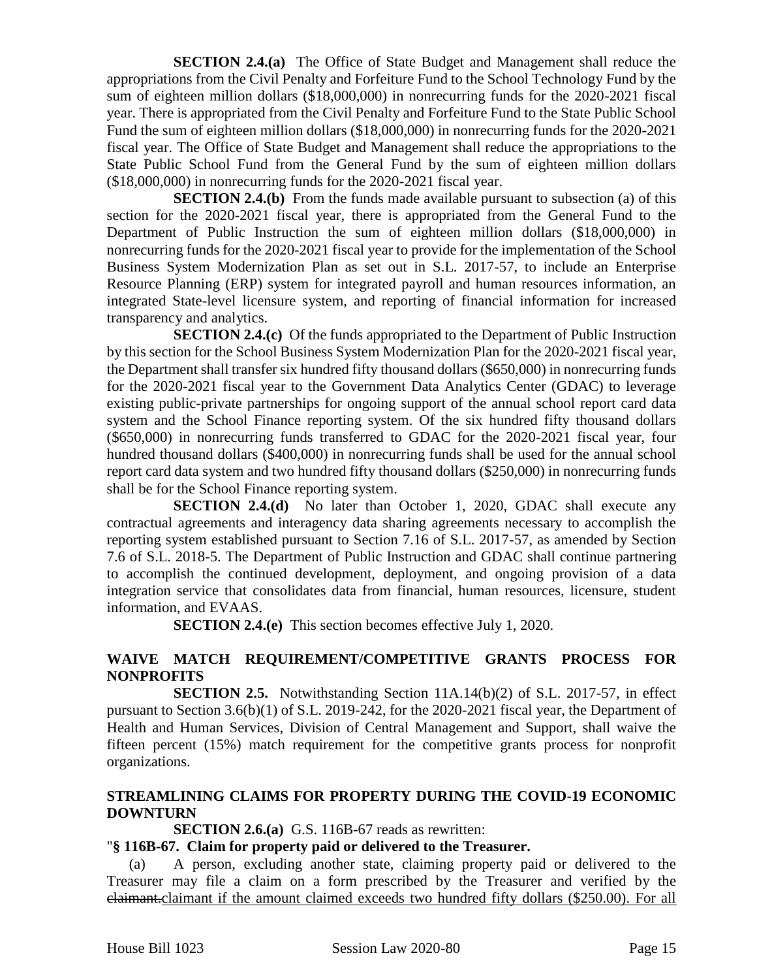**SECTION 2.4.(a)** The Office of State Budget and Management shall reduce the appropriations from the Civil Penalty and Forfeiture Fund to the School Technology Fund by the sum of eighteen million dollars (\$18,000,000) in nonrecurring funds for the 2020-2021 fiscal year. There is appropriated from the Civil Penalty and Forfeiture Fund to the State Public School Fund the sum of eighteen million dollars (\$18,000,000) in nonrecurring funds for the 2020-2021 fiscal year. The Office of State Budget and Management shall reduce the appropriations to the State Public School Fund from the General Fund by the sum of eighteen million dollars (\$18,000,000) in nonrecurring funds for the 2020-2021 fiscal year.

**SECTION 2.4.(b)** From the funds made available pursuant to subsection (a) of this section for the 2020-2021 fiscal year, there is appropriated from the General Fund to the Department of Public Instruction the sum of eighteen million dollars (\$18,000,000) in nonrecurring funds for the 2020-2021 fiscal year to provide for the implementation of the School Business System Modernization Plan as set out in S.L. 2017-57, to include an Enterprise Resource Planning (ERP) system for integrated payroll and human resources information, an integrated State-level licensure system, and reporting of financial information for increased transparency and analytics.

**SECTION 2.4.(c)** Of the funds appropriated to the Department of Public Instruction by this section for the School Business System Modernization Plan for the 2020-2021 fiscal year, the Department shall transfer six hundred fifty thousand dollars (\$650,000) in nonrecurring funds for the 2020-2021 fiscal year to the Government Data Analytics Center (GDAC) to leverage existing public-private partnerships for ongoing support of the annual school report card data system and the School Finance reporting system. Of the six hundred fifty thousand dollars (\$650,000) in nonrecurring funds transferred to GDAC for the 2020-2021 fiscal year, four hundred thousand dollars (\$400,000) in nonrecurring funds shall be used for the annual school report card data system and two hundred fifty thousand dollars (\$250,000) in nonrecurring funds shall be for the School Finance reporting system.

**SECTION 2.4.(d)** No later than October 1, 2020, GDAC shall execute any contractual agreements and interagency data sharing agreements necessary to accomplish the reporting system established pursuant to Section 7.16 of S.L. 2017-57, as amended by Section 7.6 of S.L. 2018-5. The Department of Public Instruction and GDAC shall continue partnering to accomplish the continued development, deployment, and ongoing provision of a data integration service that consolidates data from financial, human resources, licensure, student information, and EVAAS.

**SECTION 2.4.(e)** This section becomes effective July 1, 2020.

## **WAIVE MATCH REQUIREMENT/COMPETITIVE GRANTS PROCESS FOR NONPROFITS**

**SECTION 2.5.** Notwithstanding Section 11A.14(b)(2) of S.L. 2017-57, in effect pursuant to Section 3.6(b)(1) of S.L. 2019-242, for the 2020-2021 fiscal year, the Department of Health and Human Services, Division of Central Management and Support, shall waive the fifteen percent (15%) match requirement for the competitive grants process for nonprofit organizations.

### **STREAMLINING CLAIMS FOR PROPERTY DURING THE COVID-19 ECONOMIC DOWNTURN**

**SECTION 2.6.(a)** G.S. 116B-67 reads as rewritten:

## "**§ 116B-67. Claim for property paid or delivered to the Treasurer.**

(a) A person, excluding another state, claiming property paid or delivered to the Treasurer may file a claim on a form prescribed by the Treasurer and verified by the claimant.claimant if the amount claimed exceeds two hundred fifty dollars (\$250.00). For all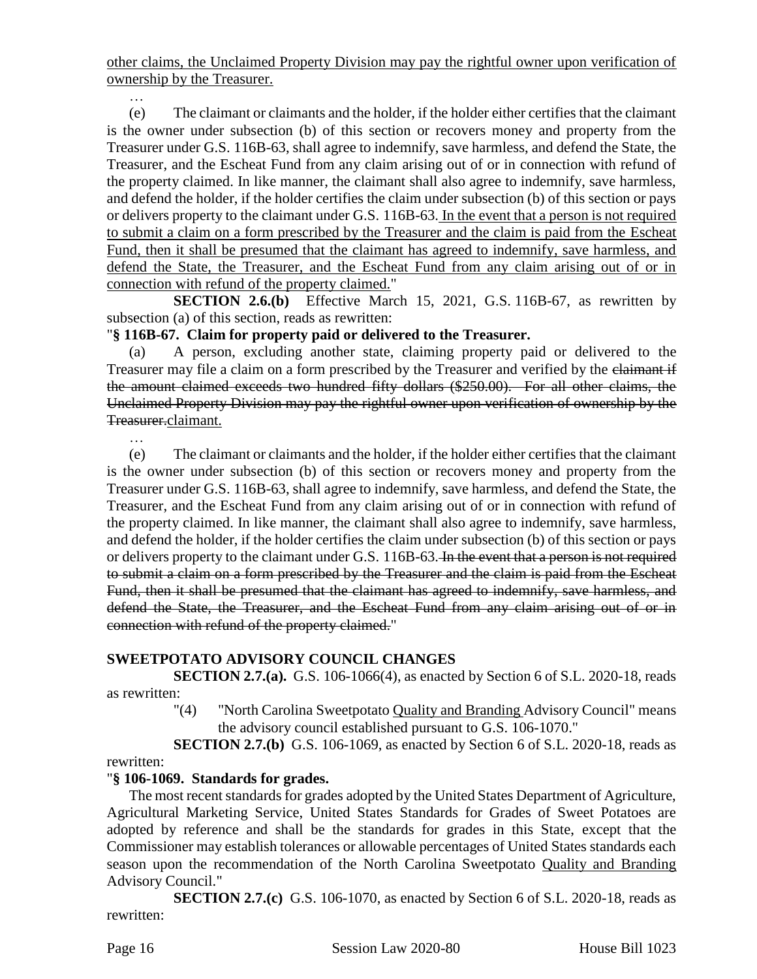other claims, the Unclaimed Property Division may pay the rightful owner upon verification of ownership by the Treasurer.

(e) The claimant or claimants and the holder, if the holder either certifies that the claimant is the owner under subsection (b) of this section or recovers money and property from the Treasurer under G.S. 116B-63, shall agree to indemnify, save harmless, and defend the State, the Treasurer, and the Escheat Fund from any claim arising out of or in connection with refund of the property claimed. In like manner, the claimant shall also agree to indemnify, save harmless, and defend the holder, if the holder certifies the claim under subsection (b) of this section or pays or delivers property to the claimant under G.S. 116B-63. In the event that a person is not required to submit a claim on a form prescribed by the Treasurer and the claim is paid from the Escheat Fund, then it shall be presumed that the claimant has agreed to indemnify, save harmless, and defend the State, the Treasurer, and the Escheat Fund from any claim arising out of or in connection with refund of the property claimed."

**SECTION 2.6.(b)** Effective March 15, 2021, G.S. 116B-67, as rewritten by subsection (a) of this section, reads as rewritten:

## "**§ 116B-67. Claim for property paid or delivered to the Treasurer.**

(a) A person, excluding another state, claiming property paid or delivered to the Treasurer may file a claim on a form prescribed by the Treasurer and verified by the elaimant if the amount claimed exceeds two hundred fifty dollars (\$250.00). For all other claims, the Unclaimed Property Division may pay the rightful owner upon verification of ownership by the Treasurer.claimant.

…

…

(e) The claimant or claimants and the holder, if the holder either certifies that the claimant is the owner under subsection (b) of this section or recovers money and property from the Treasurer under G.S. 116B-63, shall agree to indemnify, save harmless, and defend the State, the Treasurer, and the Escheat Fund from any claim arising out of or in connection with refund of the property claimed. In like manner, the claimant shall also agree to indemnify, save harmless, and defend the holder, if the holder certifies the claim under subsection (b) of this section or pays or delivers property to the claimant under G.S. 116B-63. In the event that a person is not required to submit a claim on a form prescribed by the Treasurer and the claim is paid from the Escheat Fund, then it shall be presumed that the claimant has agreed to indemnify, save harmless, and defend the State, the Treasurer, and the Escheat Fund from any claim arising out of or in connection with refund of the property claimed."

## **SWEETPOTATO ADVISORY COUNCIL CHANGES**

**SECTION 2.7.(a).** G.S. 106-1066(4), as enacted by Section 6 of S.L. 2020-18, reads as rewritten:

"(4) "North Carolina Sweetpotato Quality and Branding Advisory Council" means the advisory council established pursuant to G.S. 106-1070."

**SECTION 2.7.(b)** G.S. 106-1069, as enacted by Section 6 of S.L. 2020-18, reads as rewritten:

#### "**§ 106-1069. Standards for grades.**

The most recent standards for grades adopted by the United States Department of Agriculture, Agricultural Marketing Service, United States Standards for Grades of Sweet Potatoes are adopted by reference and shall be the standards for grades in this State, except that the Commissioner may establish tolerances or allowable percentages of United States standards each season upon the recommendation of the North Carolina Sweetpotato Quality and Branding Advisory Council."

**SECTION 2.7.(c)** G.S. 106-1070, as enacted by Section 6 of S.L. 2020-18, reads as rewritten: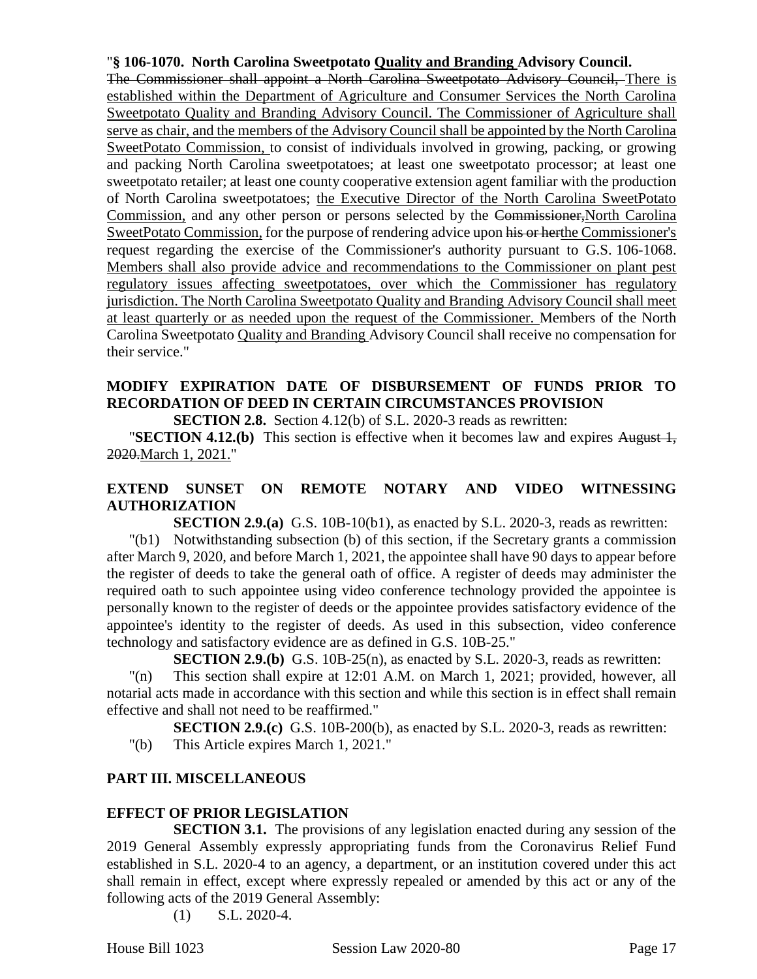### "**§ 106-1070. North Carolina Sweetpotato Quality and Branding Advisory Council.**

The Commissioner shall appoint a North Carolina Sweetpotato Advisory Council, There is established within the Department of Agriculture and Consumer Services the North Carolina Sweetpotato Quality and Branding Advisory Council. The Commissioner of Agriculture shall serve as chair, and the members of the Advisory Council shall be appointed by the North Carolina SweetPotato Commission, to consist of individuals involved in growing, packing, or growing and packing North Carolina sweetpotatoes; at least one sweetpotato processor; at least one sweetpotato retailer; at least one county cooperative extension agent familiar with the production of North Carolina sweetpotatoes; the Executive Director of the North Carolina SweetPotato Commission, and any other person or persons selected by the Commissioner, North Carolina SweetPotato Commission, for the purpose of rendering advice upon his or herthe Commissioner's request regarding the exercise of the Commissioner's authority pursuant to G.S. 106-1068. Members shall also provide advice and recommendations to the Commissioner on plant pest regulatory issues affecting sweetpotatoes, over which the Commissioner has regulatory jurisdiction. The North Carolina Sweetpotato Quality and Branding Advisory Council shall meet at least quarterly or as needed upon the request of the Commissioner. Members of the North Carolina Sweetpotato Quality and Branding Advisory Council shall receive no compensation for their service."

# **MODIFY EXPIRATION DATE OF DISBURSEMENT OF FUNDS PRIOR TO RECORDATION OF DEED IN CERTAIN CIRCUMSTANCES PROVISION**

**SECTION 2.8.** Section 4.12(b) of S.L. 2020-3 reads as rewritten:

**"SECTION 4.12.(b)** This section is effective when it becomes law and expires August 1, 2020.March 1, 2021."

## **EXTEND SUNSET ON REMOTE NOTARY AND VIDEO WITNESSING AUTHORIZATION**

**SECTION 2.9.(a)** G.S. 10B-10(b1), as enacted by S.L. 2020-3, reads as rewritten:

"(b1) Notwithstanding subsection (b) of this section, if the Secretary grants a commission after March 9, 2020, and before March 1, 2021, the appointee shall have 90 days to appear before the register of deeds to take the general oath of office. A register of deeds may administer the required oath to such appointee using video conference technology provided the appointee is personally known to the register of deeds or the appointee provides satisfactory evidence of the appointee's identity to the register of deeds. As used in this subsection, video conference technology and satisfactory evidence are as defined in G.S. 10B-25."

**SECTION 2.9.(b)** G.S. 10B-25(n), as enacted by S.L. 2020-3, reads as rewritten:

"(n) This section shall expire at 12:01 A.M. on March 1, 2021; provided, however, all notarial acts made in accordance with this section and while this section is in effect shall remain effective and shall not need to be reaffirmed."

**SECTION 2.9.(c)** G.S. 10B-200(b), as enacted by S.L. 2020-3, reads as rewritten:

"(b) This Article expires March 1, 2021."

## **PART III. MISCELLANEOUS**

## **EFFECT OF PRIOR LEGISLATION**

**SECTION 3.1.** The provisions of any legislation enacted during any session of the 2019 General Assembly expressly appropriating funds from the Coronavirus Relief Fund established in S.L. 2020-4 to an agency, a department, or an institution covered under this act shall remain in effect, except where expressly repealed or amended by this act or any of the following acts of the 2019 General Assembly:

(1) S.L. 2020-4.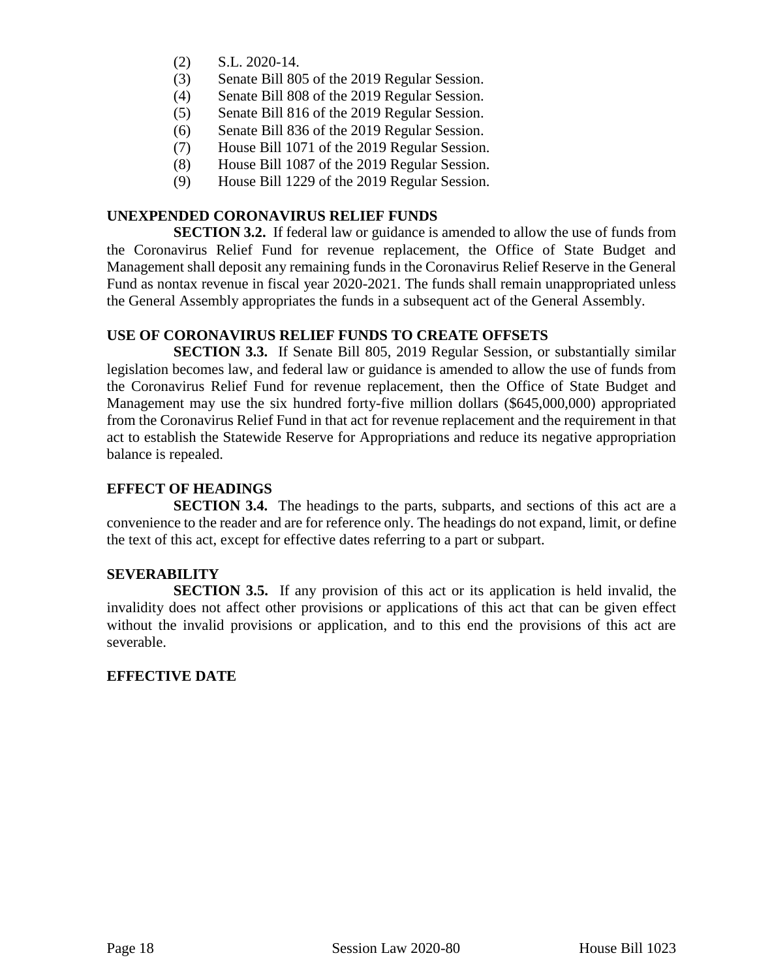- (2) S.L. 2020-14.
- (3) Senate Bill 805 of the 2019 Regular Session.
- (4) Senate Bill 808 of the 2019 Regular Session.
- (5) Senate Bill 816 of the 2019 Regular Session.
- (6) Senate Bill 836 of the 2019 Regular Session.
- (7) House Bill 1071 of the 2019 Regular Session.
- (8) House Bill 1087 of the 2019 Regular Session.
- (9) House Bill 1229 of the 2019 Regular Session.

#### **UNEXPENDED CORONAVIRUS RELIEF FUNDS**

**SECTION 3.2.** If federal law or guidance is amended to allow the use of funds from the Coronavirus Relief Fund for revenue replacement, the Office of State Budget and Management shall deposit any remaining funds in the Coronavirus Relief Reserve in the General Fund as nontax revenue in fiscal year 2020-2021. The funds shall remain unappropriated unless the General Assembly appropriates the funds in a subsequent act of the General Assembly.

#### **USE OF CORONAVIRUS RELIEF FUNDS TO CREATE OFFSETS**

**SECTION 3.3.** If Senate Bill 805, 2019 Regular Session, or substantially similar legislation becomes law, and federal law or guidance is amended to allow the use of funds from the Coronavirus Relief Fund for revenue replacement, then the Office of State Budget and Management may use the six hundred forty-five million dollars (\$645,000,000) appropriated from the Coronavirus Relief Fund in that act for revenue replacement and the requirement in that act to establish the Statewide Reserve for Appropriations and reduce its negative appropriation balance is repealed.

#### **EFFECT OF HEADINGS**

**SECTION 3.4.** The headings to the parts, subparts, and sections of this act are a convenience to the reader and are for reference only. The headings do not expand, limit, or define the text of this act, except for effective dates referring to a part or subpart.

#### **SEVERABILITY**

**SECTION 3.5.** If any provision of this act or its application is held invalid, the invalidity does not affect other provisions or applications of this act that can be given effect without the invalid provisions or application, and to this end the provisions of this act are severable.

#### **EFFECTIVE DATE**